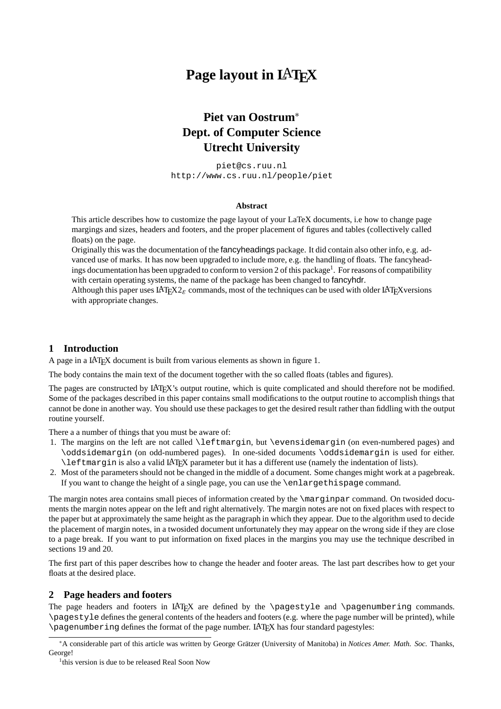# **Page layout in L**A**TEX**

# **Piet van Oostrum**<sup>∗</sup> **Dept. of Computer Science Utrecht University**

piet@cs.ruu.nl http://www.cs.ruu.nl/people/piet

#### **Abstract**

This article describes how to customize the page layout of your LaTeX documents, i.e how to change page margings and sizes, headers and footers, and the proper placement of figures and tables (collectively called floats) on the page.

Originally this was the documentation of the fancyheadings package. It did contain also other info, e.g. advanced use of marks. It has now been upgraded to include more, e.g. the handling of floats. The fancyheadings documentation has been upgraded to conform to version 2 of this package<sup>1</sup>. For reasons of compatibility with certain operating systems, the name of the package has been changed to fancyhdr.

Although this paper uses LAT<sub>EX2</sub> $\varepsilon$  commands, most of the techniques can be used with older LAT<sub>EX</sub> versions with appropriate changes.

## **1 Introduction**

A page in a LATEX document is built from various elements as shown in figure 1.

The body contains the main text of the document together with the so called floats (tables and figures).

The pages are constructed by LATEX's output routine, which is quite complicated and should therefore not be modified. Some of the packages described in this paper contains small modifications to the output routine to accomplish things that cannot be done in another way. You should use these packages to get the desired result rather than fiddling with the output routine yourself.

There a a number of things that you must be aware of:

- 1. The margins on the left are not called \leftmargin, but \evensidemargin (on even-numbered pages) and \oddsidemargin (on odd-numbered pages). In one-sided documents \oddsidemargin is used for either. \leftmargin is also a valid LATEX parameter but it has a different use (namely the indentation of lists).
- 2. Most of the parameters should not be changed in the middle of a document. Some changes might work at a pagebreak. If you want to change the height of a single page, you can use the \enlargethispage command.

The margin notes area contains small pieces of information created by the \marginpar command. On twosided documents the margin notes appear on the left and right alternatively. The margin notes are not on fixed places with respect to the paper but at approximately the same height as the paragraph in which they appear. Due to the algorithm used to decide the placement of margin notes, in a twosided document unfortunately they may appear on the wrong side if they are close to a page break. If you want to put information on fixed places in the margins you may use the technique described in sections 19 and 20.

The first part of this paper describes how to change the header and footer areas. The last part describes how to get your floats at the desired place.

## **2 Page headers and footers**

The page headers and footers in LATEX are defined by the \pagestyle and \pagenumbering commands. \pagestyle defines the general contents of the headers and footers (e.g. where the page number will be printed), while \pagenumbering defines the format of the page number. LATEX has four standard pagestyles:

<sup>\*</sup>A considerable part of this article was written by George Grätzer (University of Manitoba) in *Notices Amer. Math. Soc.* Thanks, George!

<sup>&</sup>lt;sup>1</sup>this version is due to be released Real Soon Now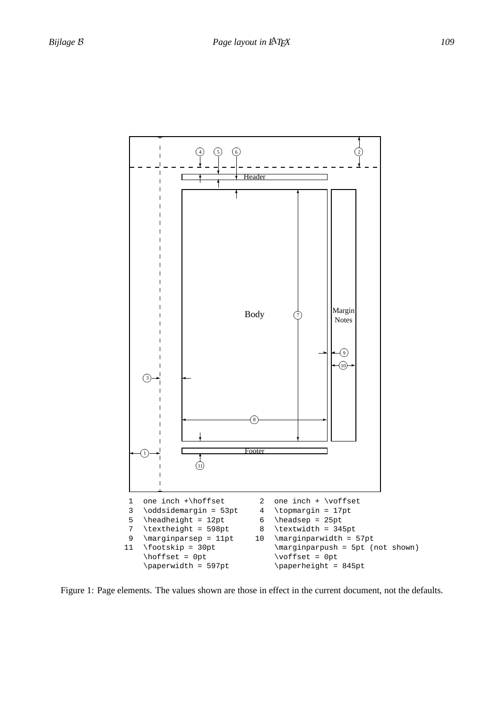

Figure 1: Page elements. The values shown are those in effect in the current document, not the defaults.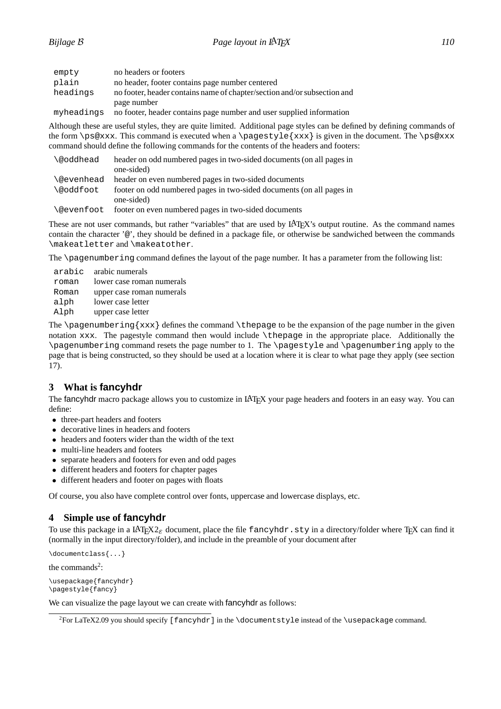| ۰,<br>×<br>$\sim$ |  |  |  |
|-------------------|--|--|--|
|-------------------|--|--|--|

| empty      | no headers or footers                                                    |
|------------|--------------------------------------------------------------------------|
| plain      | no header, footer contains page number centered                          |
| headings   | no footer, header contains name of chapter/section and/or subsection and |
|            | page number                                                              |
| myheadings | no footer, header contains page number and user supplied information     |

Although these are useful styles, they are quite limited. Additional page styles can be defined by defining commands of the form \ps@xxx. This command is executed when a \pagestyle{xxx} is given in the document. The \ps@xxx command should define the following commands for the contents of the headers and footers:

| \@oddhead  | header on odd numbered pages in two-sided documents (on all pages in<br>one-sided) |
|------------|------------------------------------------------------------------------------------|
|            |                                                                                    |
| \@evenhead | header on even numbered pages in two-sided documents                               |
| \@oddfoot  | footer on odd numbered pages in two-sided documents (on all pages in               |
|            | one-sided)                                                                         |
| \@evenfoot | footer on even numbered pages in two-sided documents                               |

These are not user commands, but rather "variables" that are used by LAT<sub>EX</sub>'s output routine. As the command names contain the character '@', they should be defined in a package file, or otherwise be sandwiched between the commands \makeatletter and \makeatother.

The \pagenumbering command defines the layout of the page number. It has a parameter from the following list:

|       | arabic arabic numerals    |
|-------|---------------------------|
| roman | lower case roman numerals |
| Roman | upper case roman numerals |
| alph  | lower case letter         |
| Alph  | upper case letter         |

The \pagenumbering  $\{xxx\}$  defines the command \thepage to be the expansion of the page number in the given notation xxx. The pagestyle command then would include \thepage in the appropriate place. Additionally the \pagenumbering command resets the page number to 1. The \pagestyle and \pagenumbering apply to the page that is being constructed, so they should be used at a location where it is clear to what page they apply (see section 17).

## **3 What is fancyhdr**

The fancyhdr macro package allows you to customize in LAT<sub>EX</sub> your page headers and footers in an easy way. You can define:

- three-part headers and footers
- decorative lines in headers and footers
- headers and footers wider than the width of the text
- multi-line headers and footers
- separate headers and footers for even and odd pages
- different headers and footers for chapter pages
- different headers and footer on pages with floats

Of course, you also have complete control over fonts, uppercase and lowercase displays, etc.

## **4 Simple use of fancyhdr**

To use this package in a LATEX2*ε* document, place the file fancyhdr.sty in a directory/folder where TEX can find it (normally in the input directory/folder), and include in the preamble of your document after

\documentclass{...}

the commands<sup>2</sup>:

```
\usepackage{fancyhdr}
\pagestyle{fancy}
```
We can visualize the page layout we can create with fancyhdr as follows:

<sup>&</sup>lt;sup>2</sup>For LaTeX2.09 you should specify [fancyhdr] in the \documentstyle instead of the \usepackage command.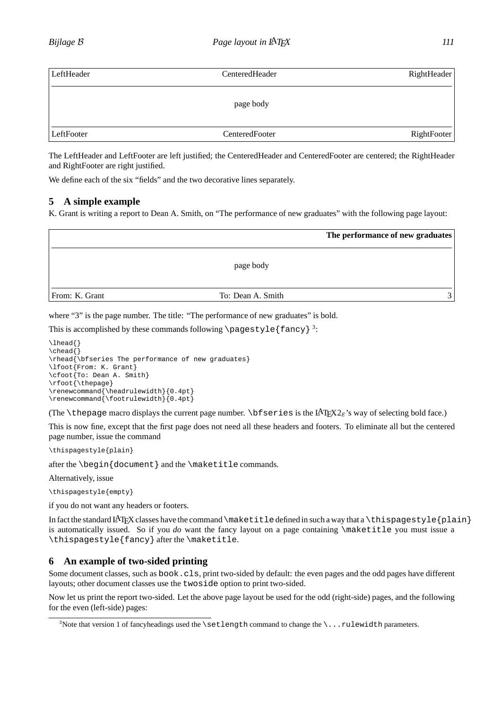| LeftHeader | CenteredHeader | RightHeader |
|------------|----------------|-------------|
|            | page body      |             |
| LeftFooter | CenteredFooter | RightFooter |

The LeftHeader and LeftFooter are left justified; the CenteredHeader and CenteredFooter are centered; the RightHeader and RightFooter are right justified.

We define each of the six "fields" and the two decorative lines separately.

## **5 A simple example**

K. Grant is writing a report to Dean A. Smith, on "The performance of new graduates" with the following page layout:

|                |                   | The performance of new graduates |
|----------------|-------------------|----------------------------------|
|                | page body         |                                  |
| From: K. Grant | To: Dean A. Smith | $\mathcal{R}$                    |

where "3" is the page number. The title: "The performance of new graduates" is bold.

This is accomplished by these commands following \pagestyle {fancy } 3:

```
\lhead{}
\chead{}
\rhead{\bfseries The performance of new graduates}
\lfoot{From: K. Grant}
\cfoot{To: Dean A. Smith}
\rfoot{\thepage}
\renewcommand{\headrulewidth}{0.4pt}
\renewcommand{\footrulewidth}{0.4pt}
```
(The  $\theta$  macro displays the current page number.  $\bf \theta$  is the LAT<sub>EX2*ε*'s way of selecting bold face.)</sub>

This is now fine, except that the first page does not need all these headers and footers. To eliminate all but the centered page number, issue the command

\thispagestyle{plain}

after the \begin{document} and the \maketitle commands.

Alternatively, issue

\thispagestyle{empty}

if you do not want any headers or footers.

In fact the standard LAT<sub>EX</sub> classes have the command \maketitledefined in such a way that a \thispagestyle{plain} is automatically issued. So if you *do* want the fancy layout on a page containing \maketitle you must issue a \thispagestyle{fancy} after the \maketitle.

## **6 An example of two-sided printing**

Some document classes, such as book.cls, print two-sided by default: the even pages and the odd pages have different layouts; other document classes use the twoside option to print two-sided.

Now let us print the report two-sided. Let the above page layout be used for the odd (right-side) pages, and the following for the even (left-side) pages:

<sup>&</sup>lt;sup>3</sup>Note that version 1 of fancyheadings used the \setlength command to change the \...rulewidth parameters.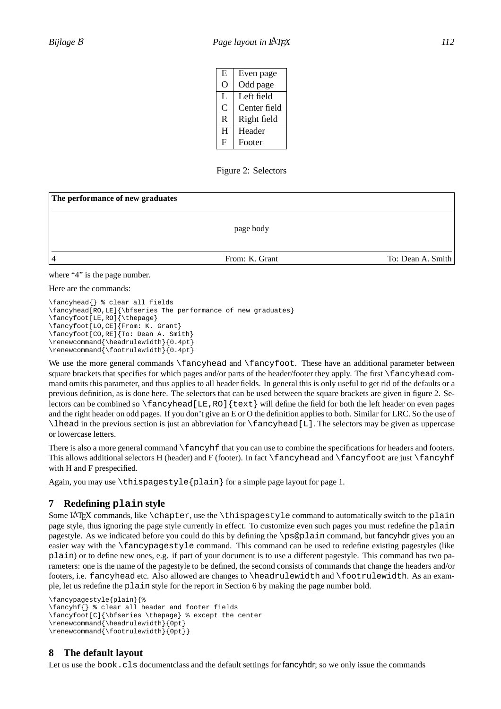| E. | Even page    |
|----|--------------|
|    | Odd page     |
| L  | Left field   |
| C  | Center field |
| R  | Right field  |
| Н  | Header       |
| F  | Footer       |

Figure 2: Selectors

| The performance of new graduates |                |                   |
|----------------------------------|----------------|-------------------|
|                                  | page body      |                   |
| 4                                | From: K. Grant | To: Dean A. Smith |

### where "4" is the page number.

#### Here are the commands:

```
\fancyhead{} % clear all fields
\fancyhead[RO,LE]{\bfseries The performance of new graduates}
\fancyfoot[LE,RO]{\thepage}
\fancyfoot[LO,CE]{From: K. Grant}
\fancyfoot[CO,RE]{To: Dean A. Smith}
\renewcommand{\headrulewidth}{0.4pt}
\renewcommand{\footrulewidth}{0.4pt}
```
We use the more general commands \fancyhead and \fancyfoot. These have an additional parameter between square brackets that specifies for which pages and/or parts of the header/footer they apply. The first \fancyhead command omits this parameter, and thus applies to all header fields. In general this is only useful to get rid of the defaults or a previous definition, as is done here. The selectors that can be used between the square brackets are given in figure 2. Selectors can be combined so  $\frac{\text{L}}{\text{L}}$ , RO] $\text{Lext}$  will define the field for both the left header on even pages and the right header on odd pages. If you don't give an E or O the definition applies to both. Similar for LRC. So the use of  $\lvert$  head in the previous section is just an abbreviation for  $\frac{\frac{L}{L}$ . The selectors may be given as uppercase or lowercase letters.

There is also a more general command  $\frac{\text{and}}{\text{and}}$  that you can use to combine the specifications for headers and footers. This allows additional selectors H (header) and F (footer). In fact  $\times$  fancyhead and  $\times$  fancyfoot are just  $\times$  fancyhf with H and F prespecified.

Again, you may use \thispagestyle{plain} for a simple page layout for page 1.

## **7 Redefining plain style**

Some LATEX commands, like \chapter, use the \thispagestyle command to automatically switch to the plain page style, thus ignoring the page style currently in effect. To customize even such pages you must redefine the plain pagestyle. As we indicated before you could do this by defining the \ps@plain command, but fancyhdr gives you an easier way with the \fancypagestyle command. This command can be used to redefine existing pagestyles (like plain) or to define new ones, e.g. if part of your document is to use a different pagestyle. This command has two parameters: one is the name of the pagestyle to be defined, the second consists of commands that change the headers and/or footers, i.e. fancyhead etc. Also allowed are changes to \headrulewidth and \footrulewidth. As an example, let us redefine the plain style for the report in Section 6 by making the page number bold.

```
\fancypagestyle{plain}{%
\fancyhf{} % clear all header and footer fields
\fancyfoot[C]{\bfseries \thepage} % except the center
\renewcommand{\headrulewidth}{0pt}
\renewcommand{\footrulewidth}{0pt}}
```
## **8 The default layout**

Let us use the book.cls document class and the default settings for fancyhdr; so we only issue the commands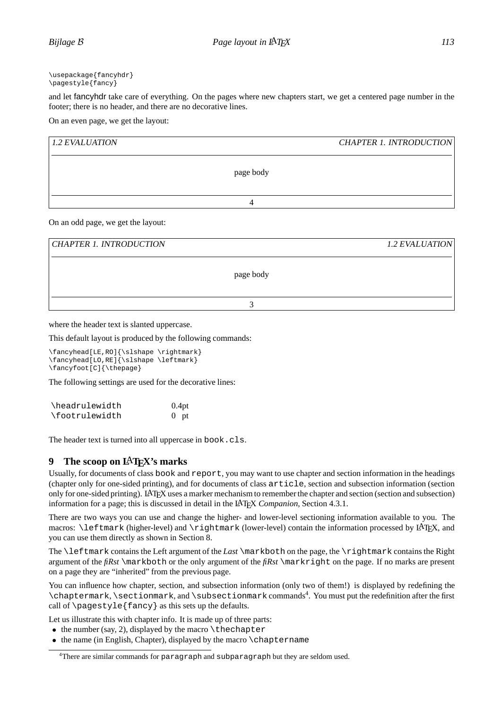and let fancyhdr take care of everything. On the pages where new chapters start, we get a centered page number in the footer; there is no header, and there are no decorative lines.

On an even page, we get the layout:

| 1.2 EVALUATION |           | <b>CHAPTER 1. INTRODUCTION</b> |
|----------------|-----------|--------------------------------|
|                | page body |                                |
|                |           |                                |

On an odd page, we get the layout:

| <b>CHAPTER 1. INTRODUCTION</b> | 1.2 EVALUATION |
|--------------------------------|----------------|
| page body                      |                |
|                                |                |

where the header text is slanted uppercase.

This default layout is produced by the following commands:

\fancyhead[LE,RO]{\slshape \rightmark} \fancyhead[LO,RE]{\slshape \leftmark} \fancyfoot[C]{\thepage}

The following settings are used for the decorative lines:

| \headrulewidth | 0.4pt  |
|----------------|--------|
| \footrulewidth | $0$ pt |

The header text is turned into all uppercase in book.cls.

## **9** The scoop on LAT<sub>EX</sub>'s marks

Usually, for documents of class book and report, you may want to use chapter and section information in the headings (chapter only for one-sided printing), and for documents of class article, section and subsection information (section only for one-sided printing). LATEX uses a marker mechanism to remember the chapter and section (section and subsection) information for a page; this is discussed in detail in the LATEX *Companion*, Section 4.3.1.

There are two ways you can use and change the higher- and lower-level sectioning information available to you. The macros: \leftmark (higher-level) and \rightmark (lower-level) contain the information processed by LATEX, and you can use them directly as shown in Section 8.

The \leftmark contains the Left argument of the *Last* \markboth on the page, the \rightmark contains the Right argument of the *fiRst* \markboth or the only argument of the *fiRst* \markright on the page. If no marks are present on a page they are "inherited" from the previous page.

You can influence how chapter, section, and subsection information (only two of them!) is displayed by redefining the \chaptermark, \sectionmark, and \subsectionmark commands4. You must put the redefinition after the first call of  $\paqestyle\{fancy\}$  as this sets up the defaults.

Let us illustrate this with chapter info. It is made up of three parts:

- $\bullet$  the number (say, 2), displayed by the macro \thechapter
- the name (in English, Chapter), displayed by the macro \chaptername

<sup>4</sup>There are similar commands for paragraph and subparagraph but they are seldom used.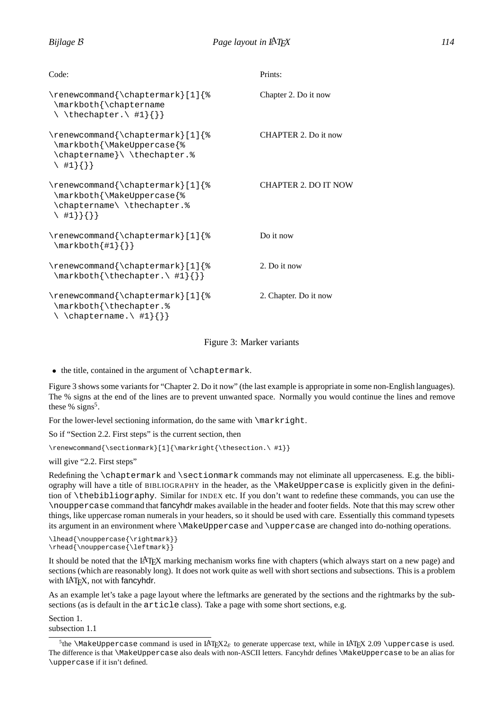| Code:                                                                                                            | Prints:                     |
|------------------------------------------------------------------------------------------------------------------|-----------------------------|
| \renewcommand{\chaptermark}[1]{%<br>\markboth{\chaptername<br>$\setminus \text{thechapter.} \{ \} \}$            | Chapter 2. Do it now        |
| \renewcommand{\chaptermark}[1]{%<br>\markboth{\MakeUppercase{%<br>\chaptername}\ \thechapter.%<br>$\{ \}$ #1}{}} | CHAPTER 2. Do it now        |
| \renewcommand{\chaptermark}[1]{%<br>\markboth{\MakeUppercase{%<br>\chaptername\\thechapter.%<br>$\{ \} \{ \}$    | <b>CHAPTER 2. DO IT NOW</b> |
| \renewcommand{\chaptermark}[1]{%<br>$\{\text{maxkboth} \{\#1\} \}$                                               | Do it now                   |
| \renewcommand{\chaptermark}[1]{%<br>\markboth{\thechapter.\#1}{}}                                                | 2. Do it now                |
| \renewcommand{\chaptermark}[1]{%<br>\markboth{\thechapter.%<br>$\setminus \{ \}$                                 | 2. Chapter. Do it now       |

### Figure 3: Marker variants

• the title, contained in the argument of \chaptermark.

Figure 3 shows some variants for "Chapter 2. Do it now" (the last example is appropriate in some non-English languages). The % signs at the end of the lines are to prevent unwanted space. Normally you would continue the lines and remove these % signs<sup>5</sup>.

For the lower-level sectioning information, do the same with  $\max$ rkright.

So if "Section 2.2. First steps" is the current section, then

\renewcommand{\sectionmark}[1]{\markright{\thesection.\ #1}}

will give "2.2. First steps"

Redefining the \chaptermark and \sectionmark commands may not eliminate all uppercaseness. E.g. the bibliography will have a title of BIBLIOGRAPHY in the header, as the \MakeUppercase is explicitly given in the definition of \thebibliography. Similar for INDEX etc. If you don't want to redefine these commands, you can use the \nouppercase command that fancyhdr makes available in the header and footer fields. Note that this may screw other things, like uppercase roman numerals in your headers, so it should be used with care. Essentially this command typesets its argument in an environment where \MakeUppercase and \uppercase are changed into do-nothing operations.

```
\label{lem:main} $$\lhead{\nouppercase}\rightrightarrows\} \\theta{\hbox{Noppercase}}\left\{ \left\{ \right\} \right\}
```
It should be noted that the LATEX marking mechanism works fine with chapters (which always start on a new page) and sections (which are reasonably long). It does not work quite as well with short sections and subsections. This is a problem with LAT<sub>EX</sub>, not with fancyhdr.

As an example let's take a page layout where the leftmarks are generated by the sections and the rightmarks by the subsections (as is default in the article class). Take a page with some short sections, e.g.

Section 1. subsection 1.1

<sup>&</sup>lt;sup>5</sup>the \MakeUppercase command is used in LAT<sub>EX</sub>2<sub> $\epsilon$ </sub> to generate uppercase text, while in LAT<sub>E</sub>X 2.09 \uppercase is used. The difference is that \MakeUppercase also deals with non-ASCII letters. Fancyhdr defines \MakeUppercase to be an alias for \uppercase if it isn't defined.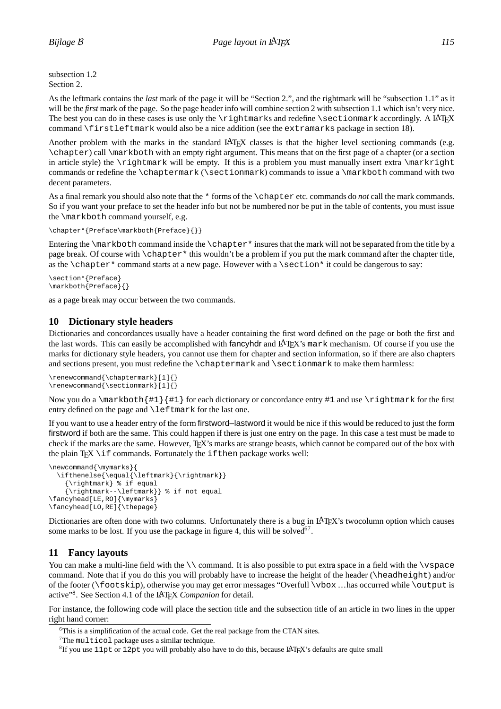subsection 1.2 Section 2.

As the leftmark contains the *last* mark of the page it will be "Section 2.", and the rightmark will be "subsection 1.1" as it will be the *first* mark of the page. So the page header info will combine section 2 with subsection 1.1 which isn't very nice. The best you can do in these cases is use only the  $\rightleftharpoons$  rightmarks and redefine  $\setminus$  sectionmark accordingly. A LATEX command \firstleftmark would also be a nice addition (see the extramarks package in section 18).

Another problem with the marks in the standard LATEX classes is that the higher level sectioning commands (e.g. \chapter) call \markboth with an empty right argument. This means that on the first page of a chapter (or a section in article style) the \rightmark will be empty. If this is a problem you must manually insert extra \markright commands or redefine the \chaptermark (\sectionmark) commands to issue a \markboth command with two decent parameters.

As a final remark you should also note that the \* forms of the \chapter etc. commands do *not* call the mark commands. So if you want your preface to set the header info but not be numbered nor be put in the table of contents, you must issue the \markboth command yourself, e.g.

```
\chapter*{Preface\markboth{Preface}{}}
```
Entering the \markboth command inside the \chapter\* insures that the mark will not be separated from the title by a page break. Of course with \chapter\* this wouldn't be a problem if you put the mark command after the chapter title, as the \chapter\* command starts at a new page. However with a \section\* it could be dangerous to say:

```
\section*{Preface}
\markboth{Preface}{}
```
as a page break may occur between the two commands.

## **10 Dictionary style headers**

Dictionaries and concordances usually have a header containing the first word defined on the page or both the first and the last words. This can easily be accomplished with fancyhdr and LATEX's mark mechanism. Of course if you use the marks for dictionary style headers, you cannot use them for chapter and section information, so if there are also chapters and sections present, you must redefine the \chaptermark and \sectionmark to make them harmless:

```
\renewcommand{\chaptermark}[1]{}
\text{renewcommand}{}{\setminus\text{renewcommand}}
```
Now you do a \markboth{#1}{#1} for each dictionary or concordance entry #1 and use \rightmark for the first entry defined on the page and \leftmark for the last one.

If you want to use a header entry of the form firstword–lastword it would be nice if this would be reduced to just the form firstword if both are the same. This could happen if there is just one entry on the page. In this case a test must be made to check if the marks are the same. However, TEX's marks are strange beasts, which cannot be compared out of the box with the plain T<sub>EX</sub> \if commands. Fortunately the ifthen package works well:

```
\newcommand{\mymarks}{
  \ifthenelse{\equal{\leftmark}{\rightmark}}
    {\rightmark} % if equal
    {\rightmark--\leftmark}} % if not equal
\fancyhead[LE,RO]{\mymarks}
\fancyhead[LO,RE]{\thepage}
```
Dictionaries are often done with two columns. Unfortunately there is a bug in LAT<sub>EX</sub>'s two column option which causes some marks to be lost. If you use the package in figure 4, this will be solved $67$ .

## **11 Fancy layouts**

You can make a multi-line field with the  $\setminus$  command. It is also possible to put extra space in a field with the  $\setminus$ space command. Note that if you do this you will probably have to increase the height of the header (\headheight) and/or of the footer (\footskip), otherwise you may get error messages "Overfull \vbox ...has occurred while \output is active"8. See Section 4.1 of the LATEX *Companion* for detail.

For instance, the following code will place the section title and the subsection title of an article in two lines in the upper right hand corner:

<sup>6</sup>This is a simplification of the actual code. Get the real package from the CTAN sites.

<sup>7</sup>The multicol package uses a similar technique.

<sup>&</sup>lt;sup>8</sup>If you use 11pt or 12pt you will probably also have to do this, because LAT<sub>EX</sub>'s defaults are quite small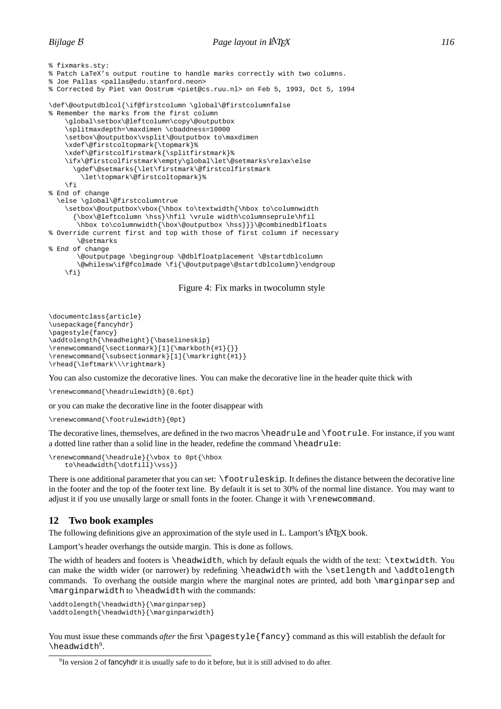```
% fixmarks.sty:
% Patch LaTeX's output routine to handle marks correctly with two columns.
% Joe Pallas <pallas@edu.stanford.neon>
% Corrected by Piet van Oostrum <piet@cs.ruu.nl> on Feb 5, 1993, Oct 5, 1994
\def\@outputdblcol{\if@firstcolumn \global\@firstcolumnfalse
% Remember the marks from the first column
    \global\setbox\@leftcolumn\copy\@outputbox
    \splitmaxdepth=\maxdimen \cbaddness=10000
    \setbox\@outputbox\vsplit\@outputbox to\maxdimen
    \xdef\@firstcoltopmark{\topmark}%
    \xdef\@firstcolfirstmark{\splitfirstmark}%
    \ifx\@firstcolfirstmark\empty\global\let\@setmarks\relax\else
      \gdef\@setmarks{\let\firstmark\@firstcolfirstmark
        \let\topmark\@firstcoltopmark}%
    \fi
% End of change
  \else \global\@firstcolumntrue
    \setbox\@outputbox\vbox{\hbox to\textwidth{\hbox to\columnwidth
      {\box\@leftcolumn \hss}\hfil \vrule width\columnseprule\hfil
       \hbox to\columnwidth{\box\@outputbox \hss}}}\@combinedblfloats
% Override current first and top with those of first column if necessary
       \@setmarks
% End of change
       \@outputpage \begingroup \@dblfloatplacement \@startdblcolumn
       \@whilesw\if@fcolmade \fi{\@outputpage\@startdblcolumn}\endgroup
    \left\{ \frac{f}{f} \right\}
```
#### Figure 4: Fix marks in twocolumn style

```
\documentclass{article}
\usepackage{fancyhdr}
\pagestyle{fancy}
\addtolength{\headheight}{\baselineskip}
\verb|\renewcommand{{\section}nark}||{\mathcal{}|\}\renewcommand{\subsectionmark}[1]{\markright{#1}}
\rhead{\leftmark\\\rightmark}
```
You can also customize the decorative lines. You can make the decorative line in the header quite thick with

\renewcommand{\headrulewidth}{0.6pt}

or you can make the decorative line in the footer disappear with

\renewcommand{\footrulewidth}{0pt}

The decorative lines, themselves, are defined in the two macros \headrule and \footrule. For instance, if you want a dotted line rather than a solid line in the header, redefine the command \headrule:

```
\renewcommand{\headrule}{\vbox to 0pt{\hbox
    to\headwidth{\dotfill}\vss}}
```
There is one additional parameter that you can set:  $\text{rootruleskip}$ . It defines the distance between the decorative line in the footer and the top of the footer text line. By default it is set to 30% of the normal line distance. You may want to adjust it if you use unusally large or small fonts in the footer. Change it with \renewcommand.

## **12 Two book examples**

The following definitions give an approximation of the style used in L. Lamport's LAT<sub>EX</sub> book.

Lamport's header overhangs the outside margin. This is done as follows.

The width of headers and footers is \headwidth, which by default equals the width of the text: \textwidth. You can make the width wider (or narrower) by redefining \headwidth with the \setlength and \addtolength commands. To overhang the outside margin where the marginal notes are printed, add both \marginparsep and \marginparwidth to \headwidth with the commands:

```
\addtolength{\headwidth}{\marginparsep}
\addtolength{\headwidth}{\marginparwidth}
```
You must issue these commands *after* the first \pagestyle{fancy} command as this will establish the default for \headwidth<sup>9</sup>.

<sup>&</sup>lt;sup>9</sup>In version 2 of fancyhdr it is usually safe to do it before, but it is still advised to do after.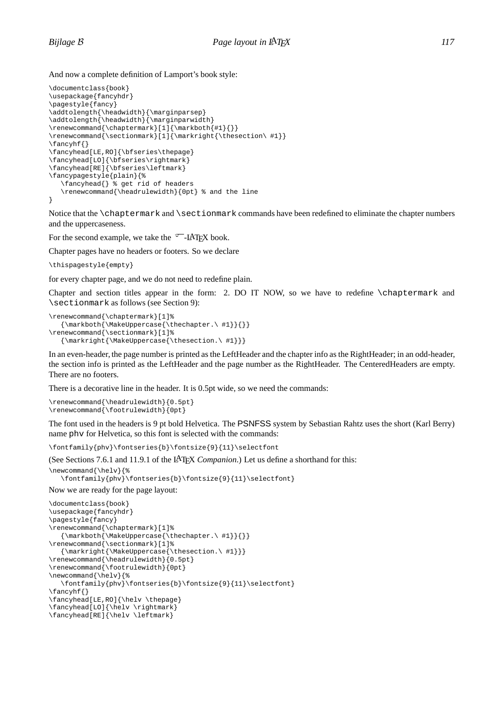And now a complete definition of Lamport's book style:

```
\documentclass{book}
\usepackage{fancyhdr}
\pagestyle{fancy}
\addtolength{\headwidth}{\marginparsep}
\addtolength{\headwidth}{\marginparwidth}
\rm{cl}[\frac{1}{\mathrm{H}}]\renewcommand{\sectionmark}[1]{\markright{\thesection\ #1}}
\fancyhf{}
\fancyhead[LE,RO]{\bfseries\thepage}
\fancyhead[LO]{\bfseries\rightmark}
\fancyhead[RE]{\bfseries\leftmark}
\fancypagestyle{plain}{%
   \fancyhead{} % get rid of headers
   \renewcommand{\headrulewidth}{0pt} % and the line
}
```
Notice that the \chaptermark and \sectionmark commands have been redefined to eliminate the chapter numbers and the uppercaseness.

For the second example, we take the  $\sqrt{T}$ -LAT<sub>EX</sub> book.

Chapter pages have no headers or footers. So we declare

\thispagestyle{empty}

for every chapter page, and we do not need to redefine plain.

Chapter and section titles appear in the form: 2. DO IT NOW, so we have to redefine \chaptermark and \sectionmark as follows (see Section 9):

```
\renewcommand{\chaptermark}[1]%
   \label{thm} $$ \mathrm{k\delta}\{\NakeUppercase\tthe chapter. \#1} {\} \}\renewcommand{\sectionmark}[1]%
   {\markright{\MakeUppercase{\thesection.\ #1}}}
```
In an even-header, the page number is printed as the LeftHeader and the chapter info as the RightHeader; in an odd-header, the section info is printed as the LeftHeader and the page number as the RightHeader. The CenteredHeaders are empty. There are no footers.

There is a decorative line in the header. It is 0.5pt wide, so we need the commands:

```
\renewcommand{\headrulewidth}{0.5pt}
\renewcommand{\footrulewidth}{0pt}
```
The font used in the headers is 9 pt bold Helvetica. The PSNFSS system by Sebastian Rahtz uses the short (Karl Berry) name phv for Helvetica, so this font is selected with the commands:

\fontfamily{phv}\fontseries{b}\fontsize{9}{11}\selectfont

(See Sections 7.6.1 and 11.9.1 of the LATEX *Companion*.) Let us define a shorthand for this:

```
\newcommand{\helv}{%
   \fontfamily{phv}\fontseries{b}\fontsize{9}{11}\selectfont}
```
#### Now we are ready for the page layout:

```
\documentclass{book}
\usepackage{fancyhdr}
\pagestyle{fancy}
\renewcommand{\chaptermark}[1]%
   {\mathbf{\{\mathcal{S}}} \} \} \} \} \}\renewcommand{\sectionmark}[1]%
   {\markright{\MakeUppercase{\thesection.\ #1}}}
\renewcommand{\headrulewidth}{0.5pt}
\renewcommand{\footrulewidth}{0pt}
\newcommand{\helv}{%
   \fontfamily{phv}\fontseries{b}\fontsize{9}{11}\selectfont}
\fancyhf{}
\fancyhead[LE,RO]{\helv \thepage}
\fancyhead[LO]{\helv \rightmark}
\fancyhead[RE]{\helv \leftmark}
```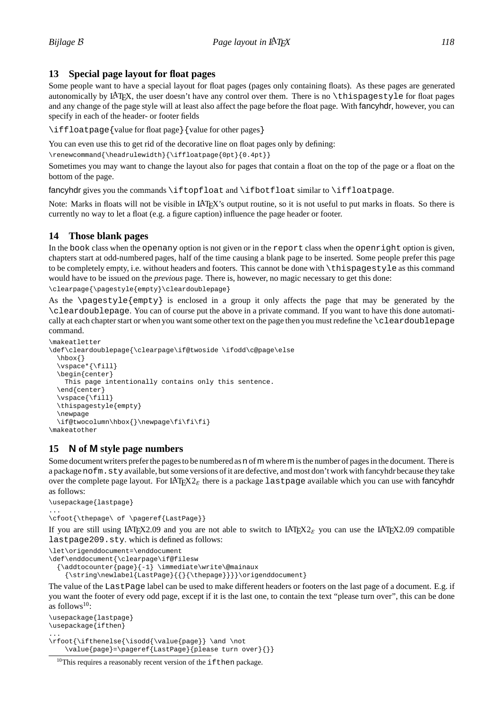## **13 Special page layout for float pages**

Some people want to have a special layout for float pages (pages only containing floats). As these pages are generated autonomically by LATEX, the user doesn't have any control over them. There is no \thispagestyle for float pages and any change of the page style will at least also affect the page before the float page. With fancyhdr, however, you can specify in each of the header- or footer fields

\iffloatpage{value for float page}{value for other pages}

You can even use this to get rid of the decorative line on float pages only by defining:

\renewcommand{\headrulewidth}{\iffloatpage{0pt}{0.4pt}}

Sometimes you may want to change the layout also for pages that contain a float on the top of the page or a float on the bottom of the page.

fancyhdr gives you the commands \iftopfloat and \ifbotfloat similar to \iffloatpage.

Note: Marks in floats will not be visible in LATEX's output routine, so it is not useful to put marks in floats. So there is currently no way to let a float (e.g. a figure caption) influence the page header or footer.

## **14 Those blank pages**

In the book class when the openany option is not given or in the report class when the openright option is given, chapters start at odd-numbered pages, half of the time causing a blank page to be inserted. Some people prefer this page to be completely empty, i.e. without headers and footers. This cannot be done with \thispagestyle as this command would have to be issued on the *previous* page. There is, however, no magic necessary to get this done:

\clearpage{\pagestyle{empty}\cleardoublepage}

As the \pagestyle{empty} is enclosed in a group it only affects the page that may be generated by the \cleardoublepage. You can of course put the above in a private command. If you want to have this done automatically at each chapter start or when you want some other text on the page then you must redefine the \cleardoublepage command.

```
\makeatletter
\def\cleardoublepage{\clearpage\if@twoside \ifodd\c@page\else
  \hbox{}
  \vspace*{\fill}
  \begin{center}
    This page intentionally contains only this sentence.
  \end{center}
  \vspace{\fill}
  \thispagestyle{empty}
  \newpage
  \if@twocolumn\hbox{}\newpage\fi\fi\fi}
\makeatother
```
## **15 N of M style page numbers**

Some document writers prefer the pages to be numbered as n of m where m is the number of pages in the document. There is a package nofm. sty available, but some versions of it are defective, and most don't work with fancyhdr because they take over the complete page layout. For LAT<sub>EX2 $_{\epsilon}$ </sub> there is a package last page available which you can use with fancyhdr as follows:

```
\usepackage{lastpage}
```
...

\cfoot{\thepage\ of \pageref{LastPage}}

If you are still using LATEX2.09 and you are not able to switch to LATEX2<sub>*ε*</sub> you can use the LATEX2.09 compatible lastpage209.sty. which is defined as follows:

```
\let\origenddocument=\enddocument
\def\enddocument{\clearpage\if@filesw
 {\addtocounter{page}{-1} \immediate\write\@mainaux
   {\text{newlabel}[LastPage]{\Theta}|\}
```
The value of the LastPage label can be used to make different headers or footers on the last page of a document. E.g. if you want the footer of every odd page, except if it is the last one, to contain the text "please turn over", this can be done as follows $10$ :

```
\usepackage{lastpage}
\usepackage{ifthen}
...
\rfoot{\ifthenelse{\isodd{\value{page}} \and \not
```
\value{page}=\pageref{LastPage}{please turn over}{}}

 $10$ This requires a reasonably recent version of the ifthen package.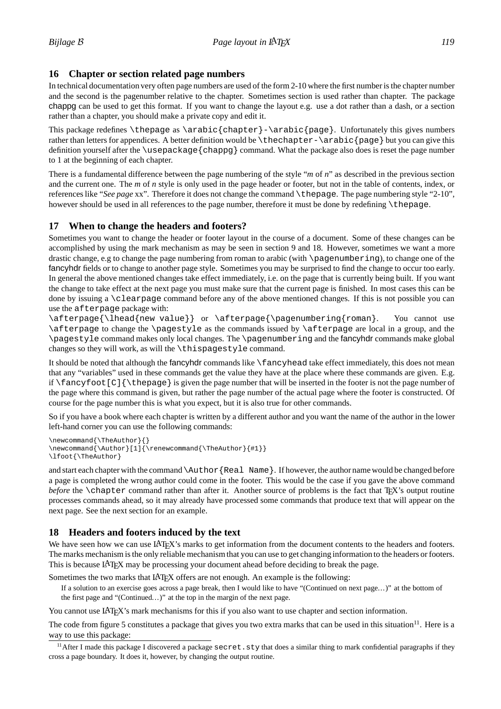## **16 Chapter or section related page numbers**

In technical documentation very often page numbers are used of the form 2-10 where the first number is the chapter number and the second is the pagenumber relative to the chapter. Sometimes section is used rather than chapter. The package chappg can be used to get this format. If you want to change the layout e.g. use a dot rather than a dash, or a section rather than a chapter, you should make a private copy and edit it.

This package redefines  $\therefore$  thepage as  $\arabic\{chapter\}-\arabic\{page\}$ . Unfortunately this gives numbers rather than letters for appendices. A better definition would be  $\theta$  the chapter- $\arctan\theta$  but you can give this definition yourself after the \usepackage{chappg} command. What the package also does is reset the page number to 1 at the beginning of each chapter.

There is a fundamental difference between the page numbering of the style "*m* of *n*" as described in the previous section and the current one. The *m* of *n* style is only used in the page header or footer, but not in the table of contents, index, or references like "*See page* xx". Therefore it does not change the command \thepage. The page numbering style "2-10", however should be used in all references to the page number, therefore it must be done by redefining \thepage.

## **17 When to change the headers and footers?**

Sometimes you want to change the header or footer layout in the course of a document. Some of these changes can be accomplished by using the mark mechanism as may be seen in section 9 and 18. However, sometimes we want a more drastic change, e.g to change the page numbering from roman to arabic (with \pagenumbering), to change one of the fancyhdr fields or to change to another page style. Sometimes you may be surprised to find the change to occur too early. In general the above mentioned changes take effect immediately, i.e. on the page that is currently being built. If you want the change to take effect at the next page you must make sure that the current page is finished. In most cases this can be done by issuing a \clearpage command before any of the above mentioned changes. If this is not possible you can use the afterpage package with:

\afterpage{\lhead{new value}} or \afterpage{\pagenumbering{roman}. You cannot use \afterpage to change the \pagestyle as the commands issued by \afterpage are local in a group, and the \pagestyle command makes only local changes. The \pagenumbering and the fancyhdr commands make global changes so they will work, as will the \thispagestyle command.

It should be noted that although the fancyhdr commands like \fancyhead take effect immediately, this does not mean that any "variables" used in these commands get the value they have at the place where these commands are given. E.g. if  $\frac{c}{C}$  is given the page number that will be inserted in the footer is not the page number of the page where this command is given, but rather the page number of the actual page where the footer is constructed. Of course for the page number this is what you expect, but it is also true for other commands.

So if you have a book where each chapter is written by a different author and you want the name of the author in the lower left-hand corner you can use the following commands:

```
\newcommand{\TheAuthor}{}
\newcommand{\Author}[1]{\renewcommand{\TheAuthor}{#1}}
\lfoot{\TheAuthor}
```
and start each chapter with the command\Author{Real Name}. If however, the author name would be changed before a page is completed the wrong author could come in the footer. This would be the case if you gave the above command *before* the \chapter command rather than after it. Another source of problems is the fact that T<sub>E</sub>X's output routine processes commands ahead, so it may already have processed some commands that produce text that will appear on the next page. See the next section for an example.

## **18 Headers and footers induced by the text**

We have seen how we can use LATEX's marks to get information from the document contents to the headers and footers. The marks mechanism is the only reliable mechanism that you can use to get changing information to the headers or footers. This is because LATEX may be processing your document ahead before deciding to break the page.

Sometimes the two marks that LATEX offers are not enough. An example is the following:

If a solution to an exercise goes across a page break, then I would like to have "(Continued on next page...)" at the bottom of the first page and "(Continued...)" at the top in the margin of the next page.

You cannot use LAT<sub>EX</sub>'s mark mechanisms for this if you also want to use chapter and section information.

The code from figure 5 constitutes a package that gives you two extra marks that can be used in this situation<sup>11</sup>. Here is a way to use this package:

<sup>&</sup>lt;sup>11</sup> After I made this package I discovered a package secret.sty that does a similar thing to mark confidential paragraphs if they cross a page boundary. It does it, however, by changing the output routine.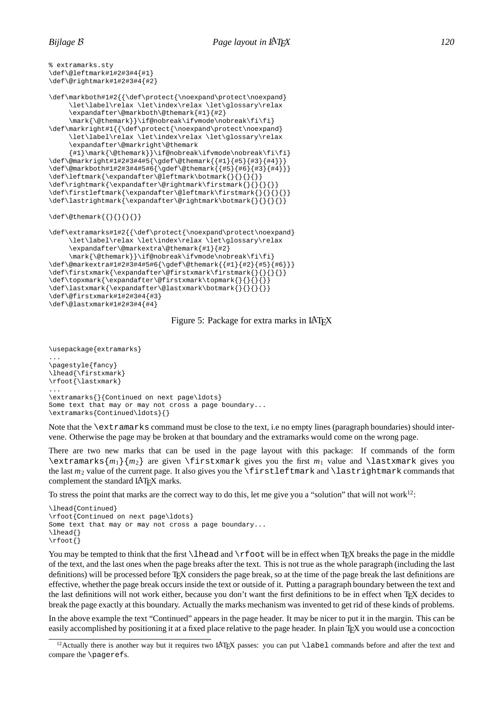```
% extramarks.sty
\def\@leftmark#1#2#3#4{#1}
\def\@rightmark#1#2#3#4{#2}
\def\markboth#1#2{{\def\protect{\noexpand\protect\noexpand}
     \let\label\relax \let\index\relax \let\glossary\relax
     \expandafter\@markboth\@themark{#1}{#2}
     \mark{\@themark}}\if@nobreak\ifvmode\nobreak\fi\fi}
\def\markright#1{{\def\protect{\noexpand\protect\noexpand}
     \let\label\relax \let\index\relax \let\glossary\relax
     \expandafter\@markright\@themark
     {#1}\mark{\@themark}}\if@nobreak\ifvmode\nobreak\fi\fi}
\def\@markright#1#2#3#4#5{\gdef\@themark{{#1}{#5}{#3}{#4}}}
\def\@markboth#1#2#3#4#5#6{\gdef\@themark{{#5}{#6}{#3}{#4}}}
\def\leftmark{\expandafter\@leftmark\botmark{}{}{}{}}
\label{thm:main} $$\def\rightmark{\text{regndafter\@rightmark\frac{1}{}}{}}\label{thm:main} $$\def\irstleft\max{\exp\arg\arg\arg\arg\arg\arg\arg\arg\arg}\left\{\{\{\}\{\}\{\}\}\right\} \end{split}\def\lastrightmark{\expandafter\@rightmark\botmark{}{}{}{}}
\def\{\theta\} \def \@themark { { } { } { } { } }
\def\extramarks#1#2{{\def\protect{\noexpand\protect\noexpand}
     \let\label\relax \let\index\relax \let\glossary\relax
     \expandafter\@markextra\@themark{#1}{#2}
     \mark{\@themark}}\if@nobreak\ifvmode\nobreak\fi\fi}
\def\@markextra#1#2#3#4#5#6{\gdef\@themark{{#1}{#2}{#5}{#6}}}
\label{thm:main} $$\def\irstxmark{\expandafter\@firstxmark\firstxmark}{\{}{}{}{} \} \}$$\def\topxmark{\expandafter\@firstxmark\topmark{}{}{}{}}
\def\lastxmark{\expandafter\@lastxmark\botmark{}{}{}{}}
\def\@firstxmark#1#2#3#4{#3}
\def\@lastxmark#1#2#3#4{#4}
```
Figure 5: Package for extra marks in LAT<sub>EX</sub>

```
\usepackage{extramarks}
...
\pagestyle{fancy}
\lhead{\firstxmark}
\rfoot{\lastxmark}
...
\extramarks{}{Continued on next page\ldots}
Some text that may or may not cross a page boundary...
\extramarks{Continued\ldots}{}
```
Note that the \extramarks command must be close to the text, i.e no empty lines (paragraph boundaries) should intervene. Otherwise the page may be broken at that boundary and the extramarks would come on the wrong page.

There are two new marks that can be used in the page layout with this package: If commands of the form  $\text{ranks}\{m_1\}\{m_2\}$  are given  $\text{rank}$  gives you the first  $m_1$  value and  $\text{rank}$  gives you the last *m*<sup>2</sup> value of the current page. It also gives you the \firstleftmark and \lastrightmark commands that complement the standard LAT<sub>EX</sub> marks.

To stress the point that marks are the correct way to do this, let me give you a "solution" that will not work<sup>12</sup>:

```
\lhead{Continued}
\rfoot{Continued on next page\ldots}
Some text that may or may not cross a page boundary...
\lhead{}
\rfoot{}
```
You may be tempted to think that the first  $\lambda$ rfoot will be in effect when T<sub>EX</sub> breaks the page in the middle of the text, and the last ones when the page breaks after the text. This is not true as the whole paragraph (including the last definitions) will be processed before TEX considers the page break, so at the time of the page break the last definitions are effective, whether the page break occurs inside the text or outside of it. Putting a paragraph boundary between the text and the last definitions will not work either, because you don't want the first definitions to be in effect when TEX decides to break the page exactly at this boundary. Actually the marks mechanism was invented to get rid of these kinds of problems.

In the above example the text "Continued" appears in the page header. It may be nicer to put it in the margin. This can be easily accomplished by positioning it at a fixed place relative to the page header. In plain T<sub>EX</sub> you would use a concoction

<sup>&</sup>lt;sup>12</sup>Actually there is another way but it requires two LAT<sub>EX</sub> passes: you can put  $\lambda$  abel commands before and after the text and compare the \pagerefs.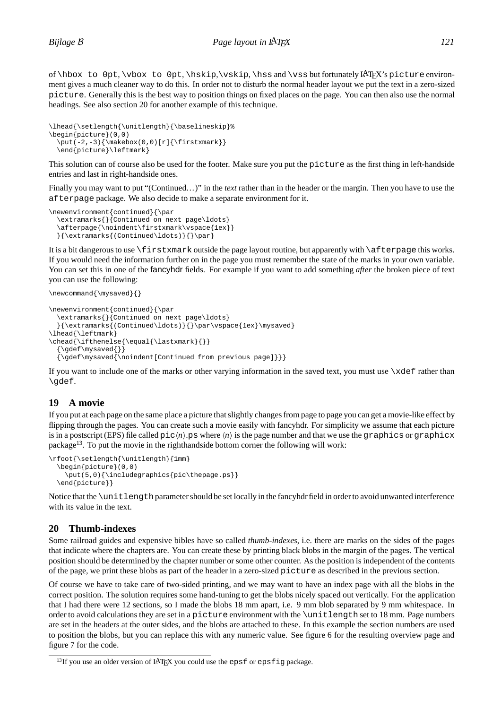of  $\hbar$ ox to 0pt,  $\bosh$  to 0pt,  $\hbar$ x's picture environment gives a much cleaner way to do this. In order not to disturb the normal header layout we put the text in a zero-sized picture. Generally this is the best way to position things on fixed places on the page. You can then also use the normal headings. See also section 20 for another example of this technique.

```
\lhead{\setlength{\unitlength}{\baselineskip}%
\begin{picture}(0,0)
  \put (-2,-3){\mathbb x(0,0)[r]{\firstxmark}}\end{picture}\leftmark}
```
This solution can of course also be used for the footer. Make sure you put the picture as the first thing in left-handside entries and last in right-handside ones.

Finally you may want to put "(Continued...)" in the *text* rather than in the header or the margin. Then you have to use the afterpage package. We also decide to make a separate environment for it.

```
\newenvironment{continued}{\par
  \extramarks{}{Continued on next page\ldots}
  \afterpage{\noindent\firstxmark\vspace{1ex}}
  {\{\textKs}\({\text{Control}\ldots)\}\}\}
```
It is a bit dangerous to use \firstxmark outside the page layout routine, but apparently with \afterpage this works. If you would need the information further on in the page you must remember the state of the marks in your own variable. You can set this in one of the fancyhdr fields. For example if you want to add something *after* the broken piece of text you can use the following:

```
\newcommand{\mysaved}{}
```

```
\newenvironment{continued}{\par
  \extramarks{}{Continued on next page\ldots}
  }{\extramarks{(Continued\ldots)}{}\par\vspace{1ex}\mysaved}
\lhead{\leftmark}
\chead{\ifthenelse{\equal{\lastxmark}{}}
  \{\qquad\}}
  {\gdef\mysaved{\noindent[Continued from previous page]}}}
```
If you want to include one of the marks or other varying information in the saved text, you must use  $\cdot \times$ def rather than \gdef.

## **19 A movie**

If you put at each page on the same place a picture that slightly changes from page to page you can get a movie-like effect by flipping through the pages. You can create such a movie easily with fancyhdr. For simplicity we assume that each picture is in a postscript (EPS) file called  $pic\langle n\rangle$ .ps where  $\langle n\rangle$  is the page number and that we use the graphics or graphicx package<sup>13</sup>. To put the movie in the righthandside bottom corner the following will work:

```
\rfoot{\setlength{\unitlength}{1mm}
  \begin{picture}(0,0)
    \put(5,0){\includegraphics{pic\thepage.ps}}
  \end{picture}}
```
Notice that the \unitlength parameter should be set locally in the fancyhdr field in order to avoid unwanted interference with its value in the text.

## **20 Thumb-indexes**

Some railroad guides and expensive bibles have so called *thumb-indexes*, i.e. there are marks on the sides of the pages that indicate where the chapters are. You can create these by printing black blobs in the margin of the pages. The vertical position should be determined by the chapter number or some other counter. As the position is independent of the contents of the page, we print these blobs as part of the header in a zero-sized picture as described in the previous section.

Of course we have to take care of two-sided printing, and we may want to have an index page with all the blobs in the correct position. The solution requires some hand-tuning to get the blobs nicely spaced out vertically. For the application that I had there were 12 sections, so I made the blobs 18 mm apart, i.e. 9 mm blob separated by 9 mm whitespace. In order to avoid calculations they are set in a picture environment with the \unitlength set to 18 mm. Page numbers are set in the headers at the outer sides, and the blobs are attached to these. In this example the section numbers are used to position the blobs, but you can replace this with any numeric value. See figure 6 for the resulting overview page and figure 7 for the code.

 $13$ If you use an older version of LAT<sub>EX</sub> you could use the epsf or epsfig package.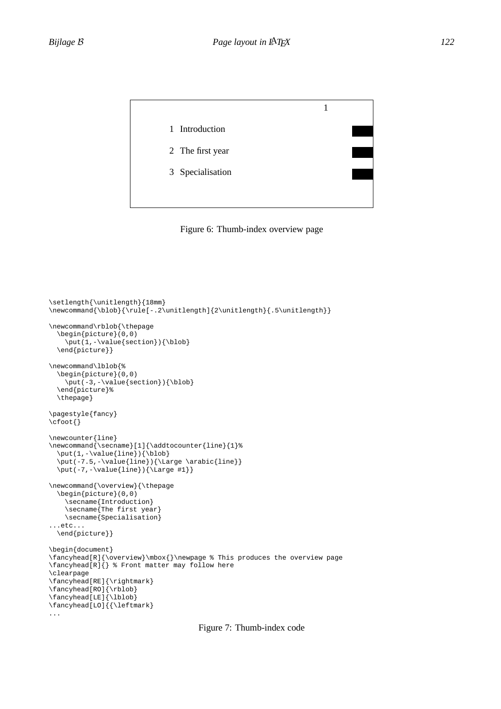



```
\setlength{\unitlength}{18mm}
\newcommand{\blob}{\rule[-.2\unitlength]{2\unitlength}{.5\unitlength}}
\newcommand\rblob{\thepage
  \begin{picture}(0,0)
    \put(1,-\value\section}){\bb\end{picture}}
\newcommand\lblob{%
  \begin{picture}(0,0)
    \put (-3,-\value\text{section}) {\label{label} }\end{picture}%
 \thepage}
\pagestyle{fancy}
\cfoot{}
\newcounter{line}
\newcommand{\secname}[1]{\addtocounter{line}{1}%
 \put(1,-\value{line}){\label{label}\put(-7.5,-\value{line}){\Large \arabic{line}}
 \put(-7,-\value{line}){\Large #1}}
\newcommand{\overview}{\thepage
 \begin{picture}(0,0)
    \secname{Introduction}
    \secname{The first year}
   \secname{Specialisation}
...etc...
 \end{picture}}
\begin{document}
\fancyhead[R]{\overview}\mbox{}\newpage % This produces the overview page
\fancyhead[R]{} % Front matter may follow here
\clearpage
\fancyhead[RE]{\rightmark}
\fancyhead[RO]{\rblob}
\fancyhead[LE]{\lblob}
\fancyhead[LO]{{\leftmark}
...
```
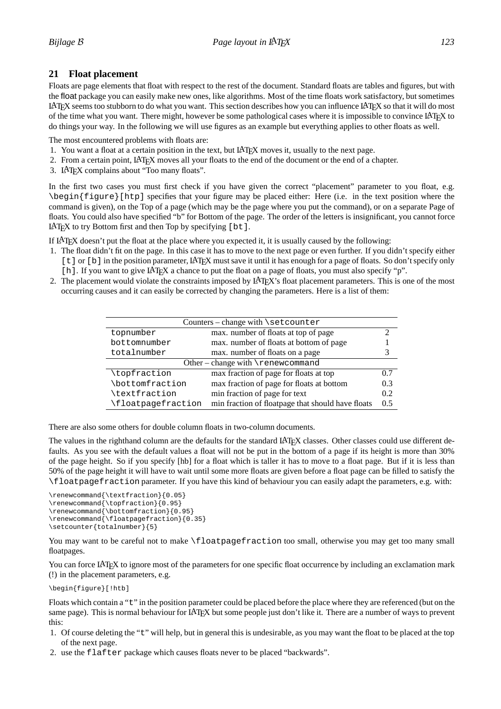## **21 Float placement**

Floats are page elements that float with respect to the rest of the document. Standard floats are tables and figures, but with the float package you can easily make new ones, like algorithms. Most of the time floats work satisfactory, but sometimes LATEX seems too stubborn to do what you want. This section describes how you can influence LATEX so that it will do most of the time what you want. There might, however be some pathological cases where it is impossible to convince LATEX to do things your way. In the following we will use figures as an example but everything applies to other floats as well.

The most encountered problems with floats are:

- 1. You want a float at a certain position in the text, but LATEX moves it, usually to the next page.
- 2. From a certain point, LATEX moves all your floats to the end of the document or the end of a chapter.
- 3. LATEX complains about "Too many floats".

In the first two cases you must first check if you have given the correct "placement" parameter to you float, e.g. \begin{figure}[htp] specifies that your figure may be placed either: Here (i.e. in the text position where the command is given), on the Top of a page (which may be the page where you put the command), or on a separate Page of floats. You could also have specified "b" for Bottom of the page. The order of the letters is insignificant, you cannot force LAT<sub>EX</sub> to try Bottom first and then Top by specifying  $[bt]$ .

If LATEX doesn't put the float at the place where you expected it, it is usually caused by the following:

- 1. The float didn't fit on the page. In this case it has to move to the next page or even further. If you didn't specify either [t] or [b] in the position parameter, LATEX must save it until it has enough for a page of floats. So don't specify only [h]. If you want to give LAT<sub>EX</sub> a chance to put the float on a page of floats, you must also specify "p".
- 2. The placement would violate the constraints imposed by LAT<sub>EX</sub>'s float placement parameters. This is one of the most occurring causes and it can easily be corrected by changing the parameters. Here is a list of them:

| Counters - change with \setcounter   |                                                   |     |
|--------------------------------------|---------------------------------------------------|-----|
|                                      |                                                   |     |
| topnumber                            | max. number of floats at top of page              | ∍   |
| bottomnumber                         | max. number of floats at bottom of page           |     |
| totalnumber                          | max. number of floats on a page                   |     |
| Other – change with $\$ renewcommand |                                                   |     |
| \topfraction                         | max fraction of page for floats at top            | 0.7 |
| \bottomfraction                      | max fraction of page for floats at bottom         | 0.3 |
| \textfraction                        | min fraction of page for text                     | 0.2 |
| \floatpaqefraction                   | min fraction of floatpage that should have floats | 0.5 |

There are also some others for double column floats in two-column documents.

The values in the righthand column are the defaults for the standard LATEX classes. Other classes could use different defaults. As you see with the default values a float will not be put in the bottom of a page if its height is more than 30% of the page height. So if you specify [hb] for a float which is taller it has to move to a float page. But if it is less than 50% of the page height it will have to wait until some more floats are given before a float page can be filled to satisfy the \floatpagefraction parameter. If you have this kind of behaviour you can easily adapt the parameters, e.g. with:

```
\renewcommand{\textfraction}{0.05}
\renewcommand{\topfraction}{0.95}
\renewcommand{\bottomfraction}{0.95}
\renewcommand{\floatpagefraction}{0.35}
\setcounter{totalnumber}{5}
```
You may want to be careful not to make \floatpagefraction too small, otherwise you may get too many small floatpages.

You can force LAT<sub>EX</sub> to ignore most of the parameters for one specific float occurrence by including an exclamation mark (!) in the placement parameters, e.g.

\begin{figure}[!htb]

Floats which contain a "t" in the position parameter could be placed before the place where they are referenced (but on the same page). This is normal behaviour for LATEX but some people just don't like it. There are a number of ways to prevent this:

- 1. Of course deleting the "t" will help, but in general this is undesirable, as you may want the float to be placed at the top of the next page.
- 2. use the flafter package which causes floats never to be placed "backwards".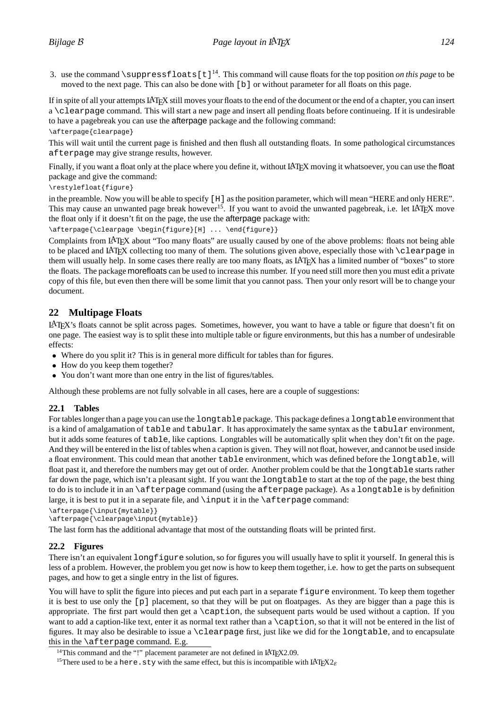3. use the command  $\sum_{s=1}^{\infty}$  suppress floats [t]<sup>14</sup>. This command will cause floats for the top position *on this page* to be moved to the next page. This can also be done with [b] or without parameter for all floats on this page.

If in spite of all your attempts LATEX still moves your floats to the end of the document or the end of a chapter, you can insert a \clearpage command. This will start a new page and insert all pending floats before continueing. If it is undesirable to have a pagebreak you can use the afterpage package and the following command:

```
\afterpage{clearpage}
```
This will wait until the current page is finished and then flush all outstanding floats. In some pathological circumstances afterpage may give strange results, however.

Finally, if you want a float only at the place where you define it, without LAT<sub>EX</sub> moving it whatsoever, you can use the float package and give the command:

\restylefloat{figure}

in the preamble. Now you will be able to specify [H] as the position parameter, which will mean "HERE and only HERE". This may cause an unwanted page break however<sup>15</sup>. If you want to avoid the unwanted pagebreak, i.e. let LAT<sub>E</sub>X move the float only if it doesn't fit on the page, the use the afterpage package with:

\afterpage{\clearpage \begin{figure}[H] ... \end{figure}}

Complaints from LATEX about "Too many floats" are usually caused by one of the above problems: floats not being able to be placed and LATEX collecting too many of them. The solutions given above, especially those with \clearpage in them will usually help. In some cases there really are too many floats, as LATEX has a limited number of "boxes" to store the floats. The package morefloats can be used to increase this number. If you need still more then you must edit a private copy of this file, but even then there will be some limit that you cannot pass. Then your only resort will be to change your document.

## **22 Multipage Floats**

LATEX's floats cannot be split across pages. Sometimes, however, you want to have a table or figure that doesn't fit on one page. The easiest way is to split these into multiple table or figure environments, but this has a number of undesirable effects:

• Where do you split it? This is in general more difficult for tables than for figures.

- How do you keep them together?
- You don't want more than one entry in the list of figures/tables.

Although these problems are not fully solvable in all cases, here are a couple of suggestions:

## **22.1 Tables**

For tables longer than a page you can use the longtable package. This package defines a longtable environment that is a kind of amalgamation of table and tabular. It has approximately the same syntax as the tabular environment, but it adds some features of table, like captions. Longtables will be automatically split when they don't fit on the page. And they will be entered in the list of tables when a caption is given. They will not float, however, and cannot be used inside a float environment. This could mean that another table environment, which was defined before the longtable, will float past it, and therefore the numbers may get out of order. Another problem could be that the longtable starts rather far down the page, which isn't a pleasant sight. If you want the longtable to start at the top of the page, the best thing to do is to include it in an \afterpage command (using the afterpage package). As a longtable is by definition large, it is best to put it in a separate file, and  $\infty$  it in the  $\after$  page command:

\afterpage{\input{mytable}}

\afterpage{\clearpage\input{mytable}}

The last form has the additional advantage that most of the outstanding floats will be printed first.

## **22.2 Figures**

There isn't an equivalent longfigure solution, so for figures you will usually have to split it yourself. In general this is less of a problem. However, the problem you get now is how to keep them together, i.e. how to get the parts on subsequent pages, and how to get a single entry in the list of figures.

You will have to split the figure into pieces and put each part in a separate figure environment. To keep them together it is best to use only the [p] placement, so that they will be put on floatpages. As they are bigger than a page this is appropriate. The first part would then get a  $\epsilon$  deption, the subsequent parts would be used without a caption. If you want to add a caption-like text, enter it as normal text rather than a \caption, so that it will not be entered in the list of figures. It may also be desirable to issue a \clearpage first, just like we did for the longtable, and to encapsulate this in the \afterpage command. E.g.

<sup>&</sup>lt;sup>14</sup>This command and the "!" placement parameter are not defined in LAT<sub>E</sub>X2.09.<br><sup>15</sup>There used to be a here.sty with the same effect, but this is incompatible with LAT<sub>E</sub>X2<sub>*ε*</sub>